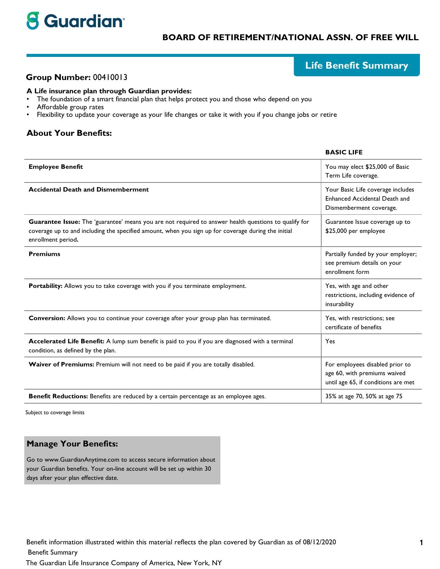

## **BOARD OF RETIREMENT/NATIONAL ASSN. OF FREE WILL**

# **Life Benefit Summary**

**BASIC LIFE** 

### Group Number: 00410013

#### A Life insurance plan through Guardian provides:

- The foundation of a smart financial plan that helps protect you and those who depend on you  $\bullet$
- $\bullet$ Affordable group rates
- $\bullet$ Flexibility to update your coverage as your life changes or take it with you if you change jobs or retire

#### **About Your Benefits:**

| <b>Employee Benefit</b>                                                                                                                                                                                                            | You may elect \$25,000 of Basic<br>Term Life coverage.                                                 |
|------------------------------------------------------------------------------------------------------------------------------------------------------------------------------------------------------------------------------------|--------------------------------------------------------------------------------------------------------|
| <b>Accidental Death and Dismemberment</b>                                                                                                                                                                                          | Your Basic Life coverage includes<br>Enhanced Accidental Death and<br>Dismemberment coverage.          |
| Guarantee Issue: The 'guarantee' means you are not required to answer health questions to qualify for<br>coverage up to and including the specified amount, when you sign up for coverage during the initial<br>enrollment period. | Guarantee Issue coverage up to<br>\$25,000 per employee                                                |
| <b>Premiums</b>                                                                                                                                                                                                                    | Partially funded by your employer;<br>see premium details on your<br>enrollment form                   |
| Portability: Allows you to take coverage with you if you terminate employment.                                                                                                                                                     | Yes, with age and other<br>restrictions, including evidence of<br>insurability                         |
| Conversion: Allows you to continue your coverage after your group plan has terminated.                                                                                                                                             | Yes, with restrictions; see<br>certificate of benefits                                                 |
| Accelerated Life Benefit: A lump sum benefit is paid to you if you are diagnosed with a terminal<br>condition, as defined by the plan.                                                                                             | Yes                                                                                                    |
| Waiver of Premiums: Premium will not need to be paid if you are totally disabled.                                                                                                                                                  | For employees disabled prior to<br>age 60, with premiums waived<br>until age 65, if conditions are met |
| Benefit Reductions: Benefits are reduced by a certain percentage as an employee ages.                                                                                                                                              | 35% at age 70, 50% at age 75                                                                           |

Subject to coverage limits

#### **Manage Your Benefits:**

Go to www.GuardianAnytime.com to access secure information about your Guardian benefits. Your on-line account will be set up within 30 days after your plan effective date.

Benefit information illustrated within this material reflects the plan covered by Guardian as of 08/12/2020

**Benefit Summary** 

The Guardian Life Insurance Company of America, New York, NY